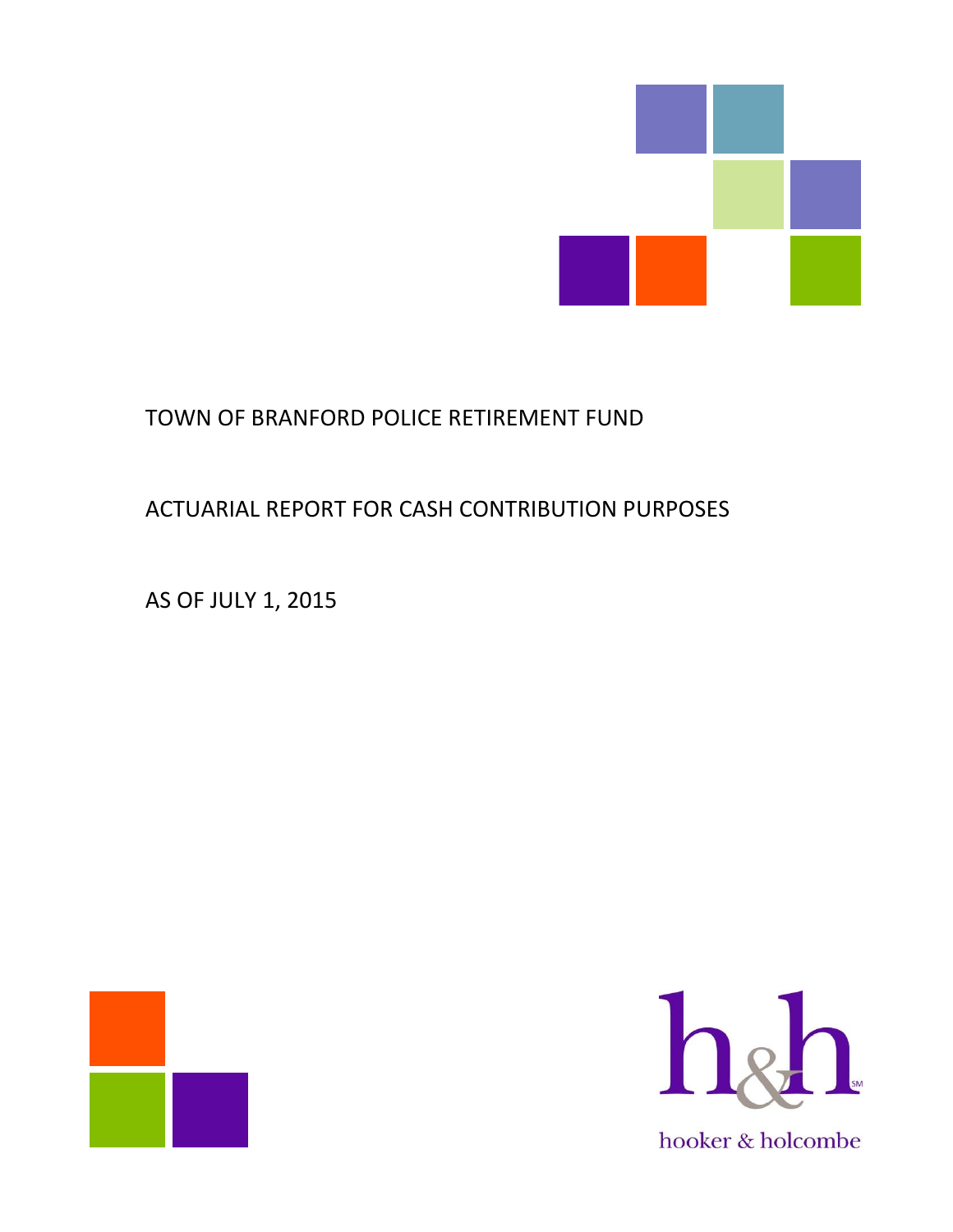

# TOWN OF BRANFORD POLICE RETIREMENT FUND

# ACTUARIAL REPORT FOR CASH CONTRIBUTION PURPOSES

AS OF JULY 1, 2015



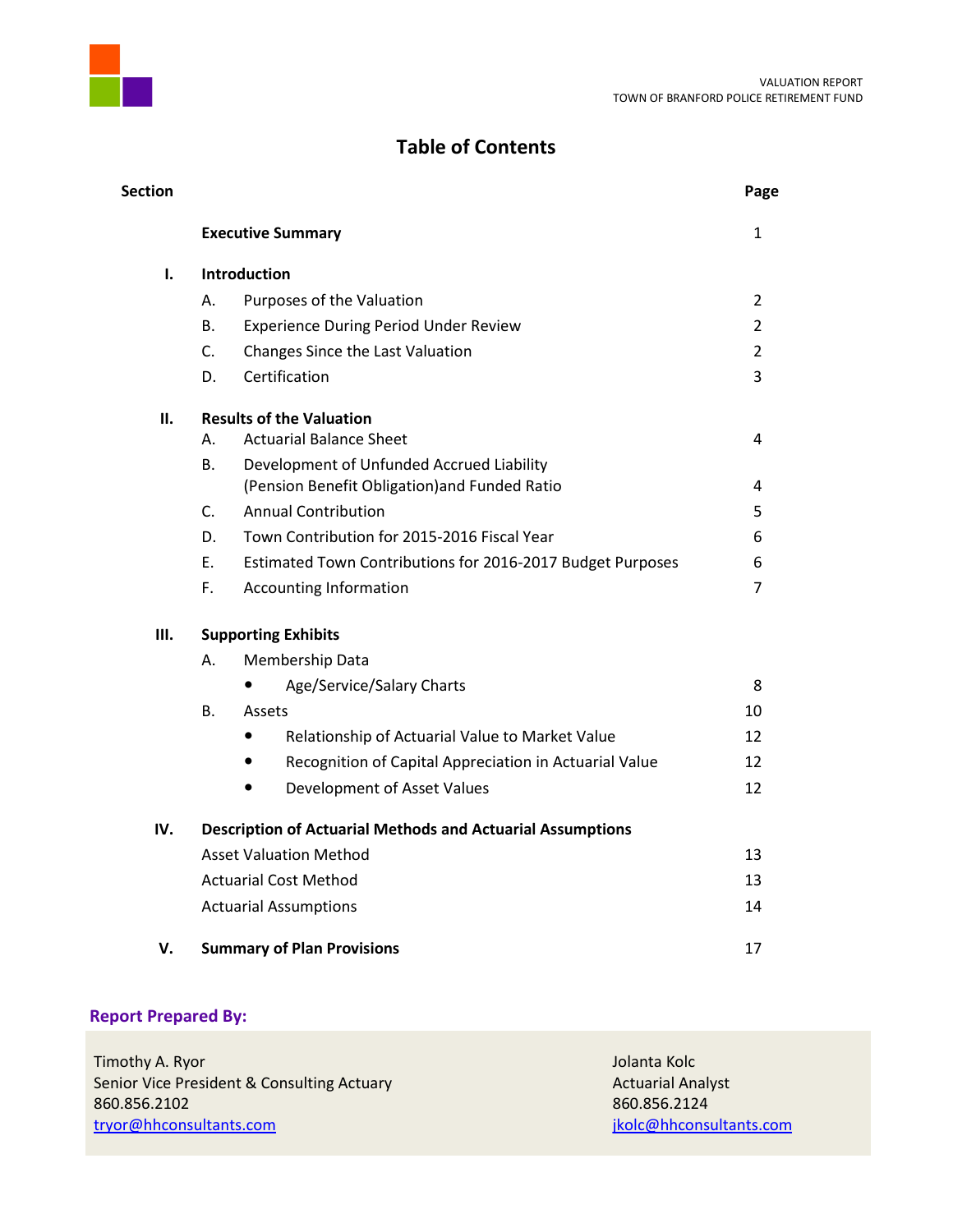

# **Table of Contents**

| Section |           |                                                                                            | Page           |
|---------|-----------|--------------------------------------------------------------------------------------------|----------------|
|         |           | <b>Executive Summary</b>                                                                   | $\mathbf{1}$   |
| 1.      |           | <b>Introduction</b>                                                                        |                |
|         | А.        | Purposes of the Valuation                                                                  | $\overline{2}$ |
|         | <b>B.</b> | <b>Experience During Period Under Review</b>                                               | $\overline{2}$ |
|         | C.        | Changes Since the Last Valuation                                                           | $\overline{2}$ |
|         | D.        | Certification                                                                              | 3              |
| П.      |           | <b>Results of the Valuation</b>                                                            |                |
|         | А.        | <b>Actuarial Balance Sheet</b>                                                             | 4              |
|         | B.        | Development of Unfunded Accrued Liability<br>(Pension Benefit Obligation) and Funded Ratio | 4              |
|         | C.        | <b>Annual Contribution</b>                                                                 | 5              |
|         | D.        | Town Contribution for 2015-2016 Fiscal Year                                                | 6              |
|         | E.        | Estimated Town Contributions for 2016-2017 Budget Purposes                                 | 6              |
|         | F.        | <b>Accounting Information</b>                                                              | $\overline{7}$ |
| Ш.      |           | <b>Supporting Exhibits</b>                                                                 |                |
|         | А.        | Membership Data                                                                            |                |
|         |           | Age/Service/Salary Charts                                                                  | 8              |
|         | В.        | Assets                                                                                     | 10             |
|         |           | Relationship of Actuarial Value to Market Value<br>$\bullet$                               | 12             |
|         |           | Recognition of Capital Appreciation in Actuarial Value                                     | 12             |
|         |           | Development of Asset Values<br>$\bullet$                                                   | 12             |
| IV.     |           | <b>Description of Actuarial Methods and Actuarial Assumptions</b>                          |                |
|         |           | <b>Asset Valuation Method</b>                                                              | 13             |
|         |           | <b>Actuarial Cost Method</b>                                                               | 13             |
|         |           | <b>Actuarial Assumptions</b>                                                               | 14             |
| v.      |           | <b>Summary of Plan Provisions</b>                                                          | 17             |
|         |           |                                                                                            |                |

# **Report Prepared By:**

| Timothy A. Ryor                            | Jolanta Kolc             |
|--------------------------------------------|--------------------------|
| Senior Vice President & Consulting Actuary | <b>Actuarial Analyst</b> |
| 860.856.2102                               | 860.856.2124             |
| tryor@hhconsultants.com                    | jkolc@hhconsultants.com  |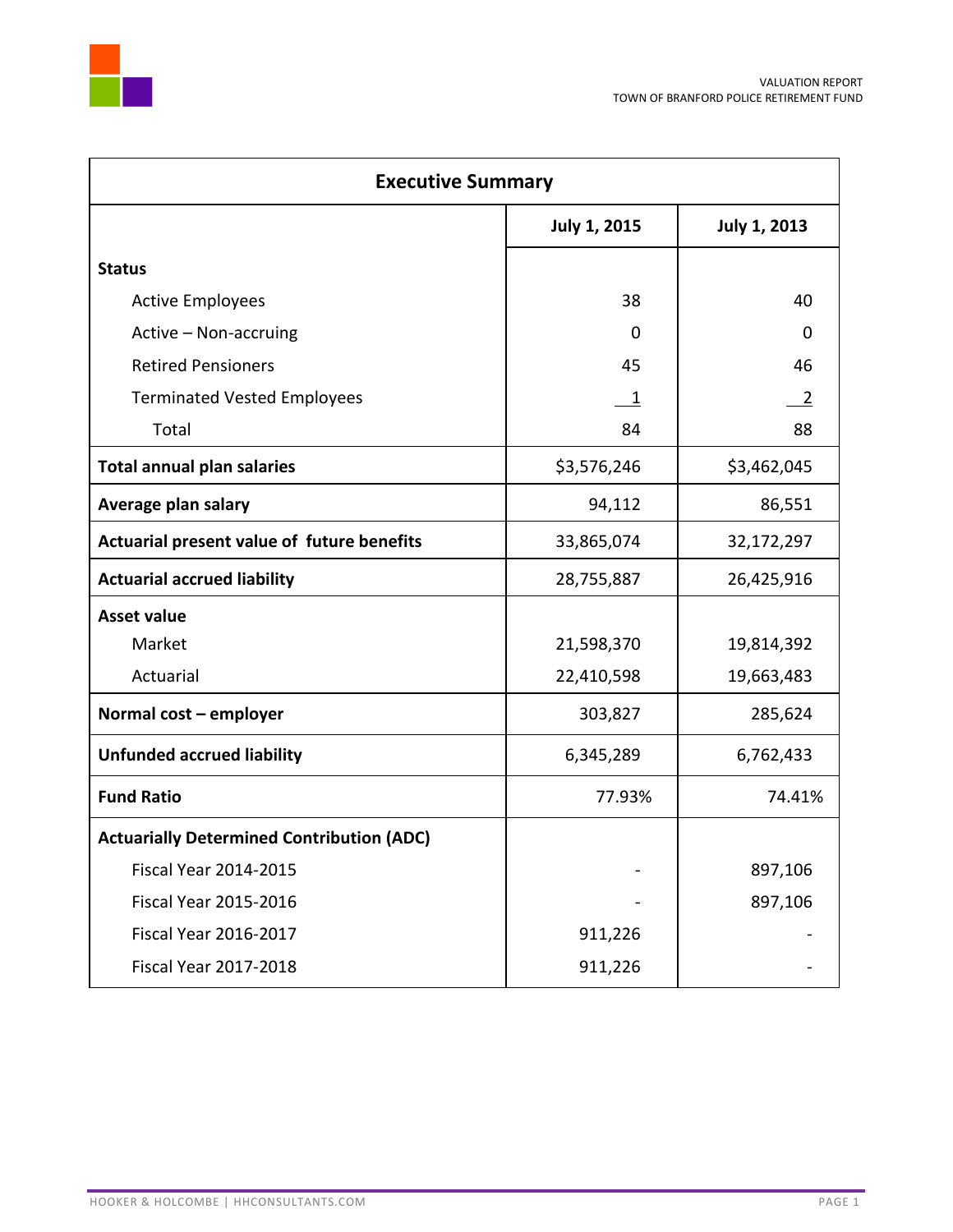

| <b>Executive Summary</b>                         |                     |                     |  |  |  |  |  |  |
|--------------------------------------------------|---------------------|---------------------|--|--|--|--|--|--|
|                                                  | <b>July 1, 2015</b> | <b>July 1, 2013</b> |  |  |  |  |  |  |
| <b>Status</b>                                    |                     |                     |  |  |  |  |  |  |
| <b>Active Employees</b>                          | 38                  | 40                  |  |  |  |  |  |  |
| Active - Non-accruing                            | 0                   | 0                   |  |  |  |  |  |  |
| <b>Retired Pensioners</b>                        | 45                  | 46                  |  |  |  |  |  |  |
| <b>Terminated Vested Employees</b>               | $\mathbf{1}$        | $\overline{2}$      |  |  |  |  |  |  |
| Total                                            | 84                  | 88                  |  |  |  |  |  |  |
| <b>Total annual plan salaries</b>                | \$3,576,246         | \$3,462,045         |  |  |  |  |  |  |
| Average plan salary                              | 94,112              | 86,551              |  |  |  |  |  |  |
| Actuarial present value of future benefits       | 33,865,074          | 32,172,297          |  |  |  |  |  |  |
| <b>Actuarial accrued liability</b>               | 28,755,887          | 26,425,916          |  |  |  |  |  |  |
| <b>Asset value</b>                               |                     |                     |  |  |  |  |  |  |
| Market                                           | 21,598,370          | 19,814,392          |  |  |  |  |  |  |
| Actuarial                                        | 22,410,598          | 19,663,483          |  |  |  |  |  |  |
| Normal cost - employer                           | 303,827             | 285,624             |  |  |  |  |  |  |
| <b>Unfunded accrued liability</b>                | 6,345,289           | 6,762,433           |  |  |  |  |  |  |
| <b>Fund Ratio</b>                                | 77.93%              | 74.41%              |  |  |  |  |  |  |
| <b>Actuarially Determined Contribution (ADC)</b> |                     |                     |  |  |  |  |  |  |
| <b>Fiscal Year 2014-2015</b>                     |                     | 897,106             |  |  |  |  |  |  |
| <b>Fiscal Year 2015-2016</b>                     |                     | 897,106             |  |  |  |  |  |  |
| <b>Fiscal Year 2016-2017</b>                     | 911,226             |                     |  |  |  |  |  |  |
| <b>Fiscal Year 2017-2018</b>                     | 911,226             |                     |  |  |  |  |  |  |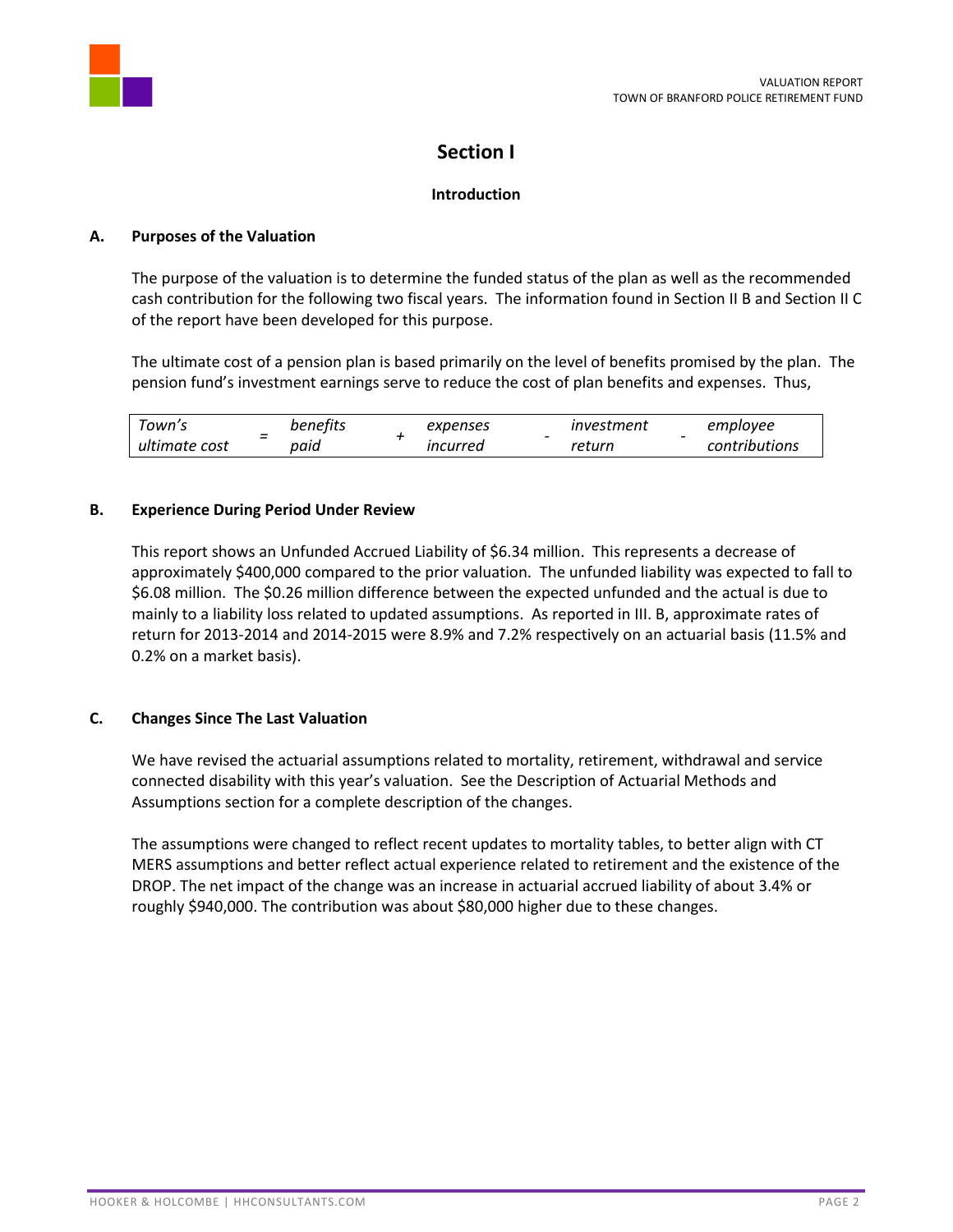

# **Section I**

# **Introduction**

# **A. Purposes of the Valuation**

The purpose of the valuation is to determine the funded status of the plan as well as the recommended cash contribution for the following two fiscal years. The information found in Section II B and Section II C of the report have been developed for this purpose.

The ultimate cost of a pension plan is based primarily on the level of benefits promised by the plan. The pension fund's investment earnings serve to reduce the cost of plan benefits and expenses. Thus,

| own's<br>-         | benefits | expenses | investment | employee      |
|--------------------|----------|----------|------------|---------------|
| -<br>ultimate cost | paid     | ıncurred | return     | contributions |

# **B. Experience During Period Under Review**

This report shows an Unfunded Accrued Liability of \$6.34 million. This represents a decrease of approximately \$400,000 compared to the prior valuation. The unfunded liability was expected to fall to \$6.08 million. The \$0.26 million difference between the expected unfunded and the actual is due to mainly to a liability loss related to updated assumptions. As reported in III. B, approximate rates of return for 2013-2014 and 2014-2015 were 8.9% and 7.2% respectively on an actuarial basis (11.5% and 0.2% on a market basis).

# **C. Changes Since The Last Valuation**

We have revised the actuarial assumptions related to mortality, retirement, withdrawal and service connected disability with this year's valuation. See the Description of Actuarial Methods and Assumptions section for a complete description of the changes.

The assumptions were changed to reflect recent updates to mortality tables, to better align with CT MERS assumptions and better reflect actual experience related to retirement and the existence of the DROP. The net impact of the change was an increase in actuarial accrued liability of about 3.4% or roughly \$940,000. The contribution was about \$80,000 higher due to these changes.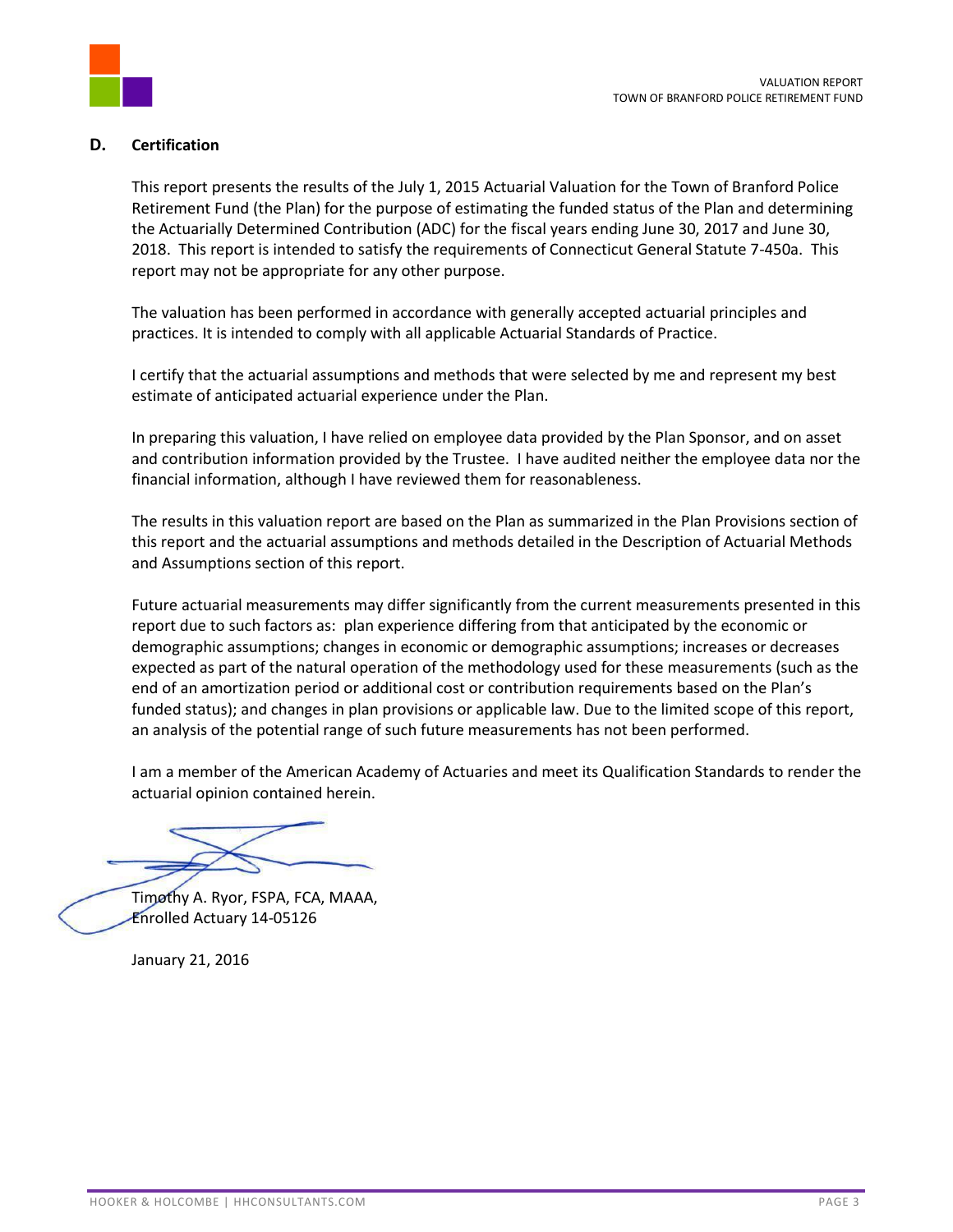

# **D. Certification**

This report presents the results of the July 1, 2015 Actuarial Valuation for the Town of Branford Police Retirement Fund (the Plan) for the purpose of estimating the funded status of the Plan and determining the Actuarially Determined Contribution (ADC) for the fiscal years ending June 30, 2017 and June 30, 2018. This report is intended to satisfy the requirements of Connecticut General Statute 7-450a. This report may not be appropriate for any other purpose.

The valuation has been performed in accordance with generally accepted actuarial principles and practices. It is intended to comply with all applicable Actuarial Standards of Practice.

I certify that the actuarial assumptions and methods that were selected by me and represent my best estimate of anticipated actuarial experience under the Plan.

In preparing this valuation, I have relied on employee data provided by the Plan Sponsor, and on asset and contribution information provided by the Trustee. I have audited neither the employee data nor the financial information, although I have reviewed them for reasonableness.

The results in this valuation report are based on the Plan as summarized in the Plan Provisions section of this report and the actuarial assumptions and methods detailed in the Description of Actuarial Methods and Assumptions section of this report.

Future actuarial measurements may differ significantly from the current measurements presented in this report due to such factors as: plan experience differing from that anticipated by the economic or demographic assumptions; changes in economic or demographic assumptions; increases or decreases expected as part of the natural operation of the methodology used for these measurements (such as the end of an amortization period or additional cost or contribution requirements based on the Plan's funded status); and changes in plan provisions or applicable law. Due to the limited scope of this report, an analysis of the potential range of such future measurements has not been performed.

I am a member of the American Academy of Actuaries and meet its Qualification Standards to render the actuarial opinion contained herein.

Timothy A. Ryor, FSPA, FCA, MAAA, Enrolled Actuary 14-05126

January 21, 2016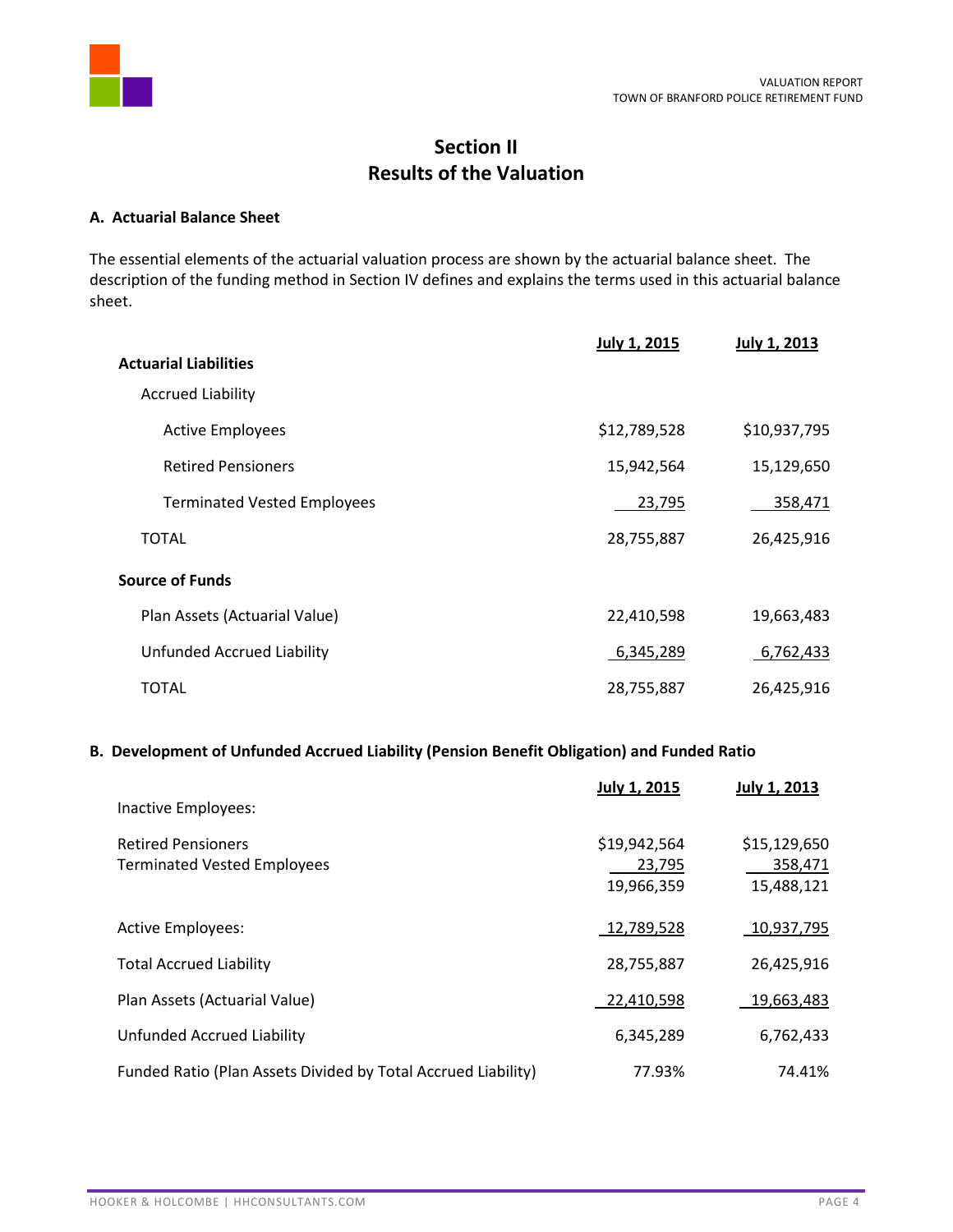

# **Section II Results of the Valuation**

#### **A. Actuarial Balance Sheet**

The essential elements of the actuarial valuation process are shown by the actuarial balance sheet. The description of the funding method in Section IV defines and explains the terms used in this actuarial balance sheet.

|                                    | <b>July 1, 2015</b> | <b>July 1, 2013</b> |
|------------------------------------|---------------------|---------------------|
| <b>Actuarial Liabilities</b>       |                     |                     |
| <b>Accrued Liability</b>           |                     |                     |
| <b>Active Employees</b>            | \$12,789,528        | \$10,937,795        |
| <b>Retired Pensioners</b>          | 15,942,564          | 15,129,650          |
| <b>Terminated Vested Employees</b> | 23,795              | 358,471             |
| TOTAL                              | 28,755,887          | 26,425,916          |
| <b>Source of Funds</b>             |                     |                     |
| Plan Assets (Actuarial Value)      | 22,410,598          | 19,663,483          |
| <b>Unfunded Accrued Liability</b>  | 6,345,289           | 6,762,433           |
| TOTAL                              | 28,755,887          | 26,425,916          |

## **B. Development of Unfunded Accrued Liability (Pension Benefit Obligation) and Funded Ratio**

|                                                                 | <b>July 1, 2015</b>                  | <b>July 1, 2013</b>                   |
|-----------------------------------------------------------------|--------------------------------------|---------------------------------------|
| Inactive Employees:                                             |                                      |                                       |
| <b>Retired Pensioners</b><br><b>Terminated Vested Employees</b> | \$19,942,564<br>23,795<br>19,966,359 | \$15,129,650<br>358,471<br>15,488,121 |
| <b>Active Employees:</b>                                        | 12,789,528                           | 10,937,795                            |
| <b>Total Accrued Liability</b>                                  | 28,755,887                           | 26,425,916                            |
| Plan Assets (Actuarial Value)                                   | 22,410,598                           | 19,663,483                            |
| Unfunded Accrued Liability                                      | 6,345,289                            | 6,762,433                             |
| Funded Ratio (Plan Assets Divided by Total Accrued Liability)   | 77.93%                               | 74.41%                                |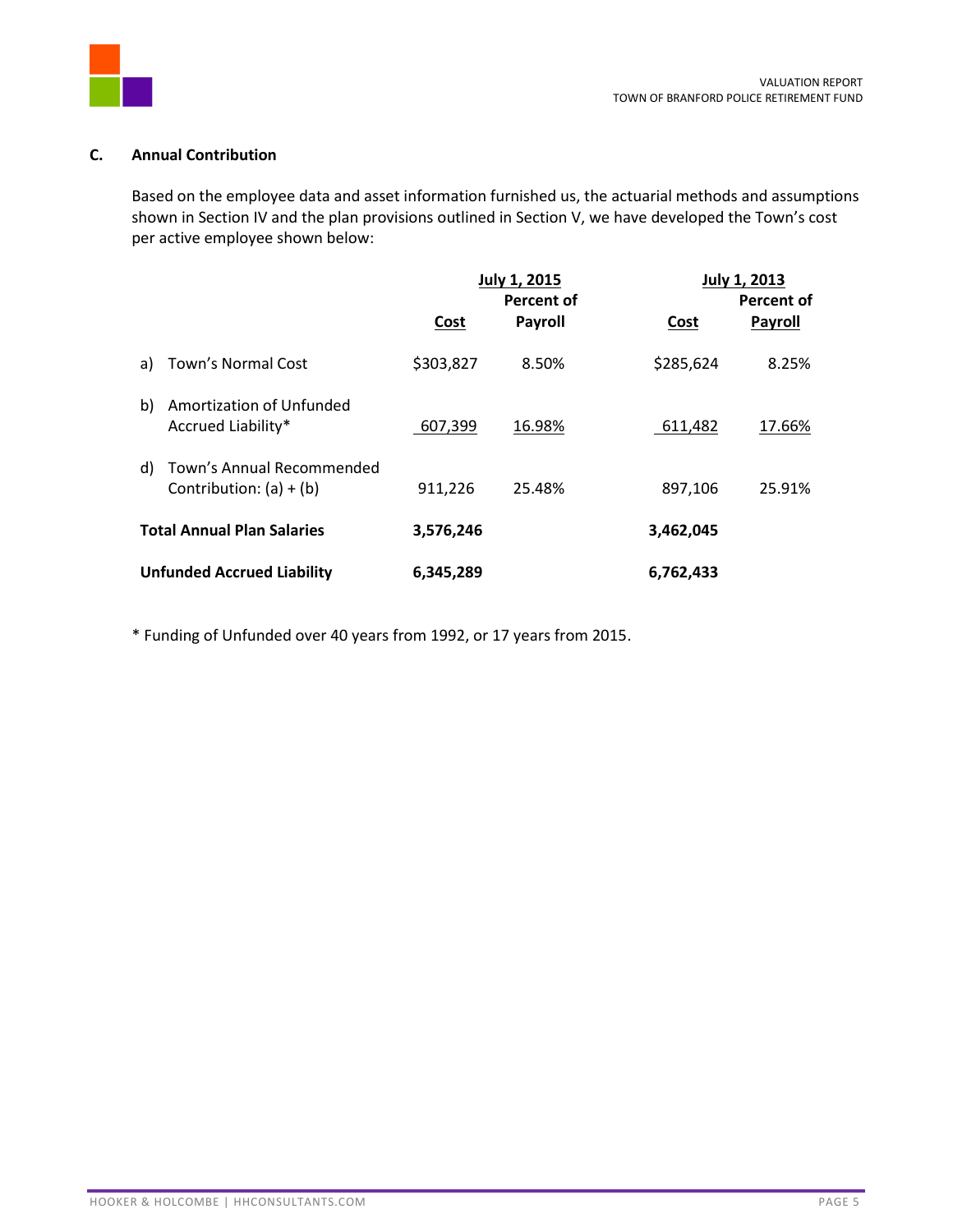

# **C. Annual Contribution**

Based on the employee data and asset information furnished us, the actuarial methods and assumptions shown in Section IV and the plan provisions outlined in Section V, we have developed the Town's cost per active employee shown below:

|    |                                                        |           | <b>July 1, 2015</b><br><b>Percent of</b> |           | <b>July 1, 2013</b><br>Percent of |  |  |  |
|----|--------------------------------------------------------|-----------|------------------------------------------|-----------|-----------------------------------|--|--|--|
|    |                                                        | Cost      | <b>Payroll</b>                           | Cost      | <b>Payroll</b>                    |  |  |  |
| a) | Town's Normal Cost                                     | \$303,827 | 8.50%                                    | \$285,624 | 8.25%                             |  |  |  |
| b) | Amortization of Unfunded<br>Accrued Liability*         | 607,399   | 16.98%                                   | 611,482   | 17.66%                            |  |  |  |
| d) | Town's Annual Recommended<br>Contribution: $(a) + (b)$ | 911,226   | 25.48%                                   | 897,106   | 25.91%                            |  |  |  |
|    | <b>Total Annual Plan Salaries</b>                      | 3,576,246 |                                          | 3,462,045 |                                   |  |  |  |
|    | <b>Unfunded Accrued Liability</b>                      | 6,345,289 |                                          | 6,762,433 |                                   |  |  |  |

\* Funding of Unfunded over 40 years from 1992, or 17 years from 2015.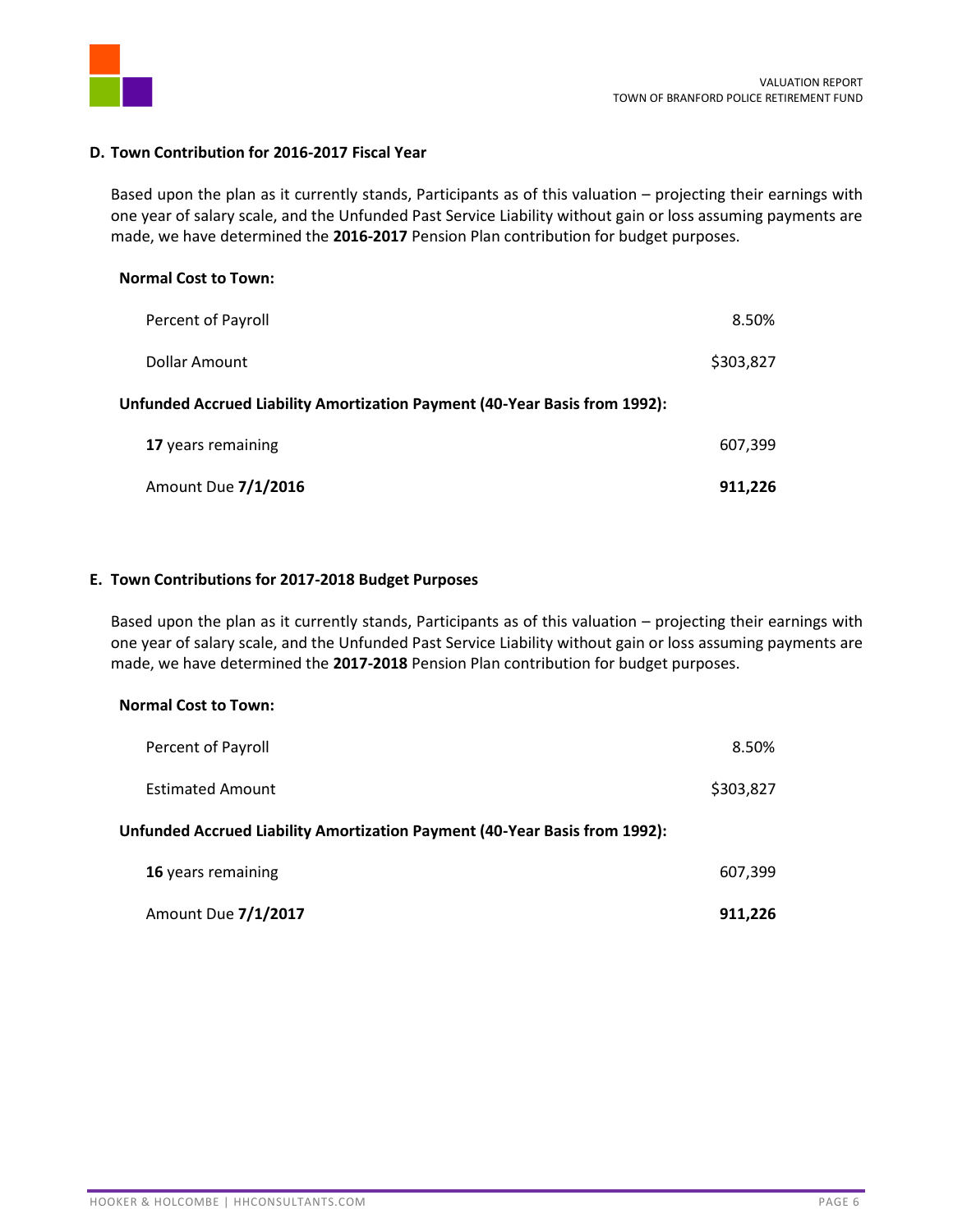

### **D. Town Contribution for 2016-2017 Fiscal Year**

Based upon the plan as it currently stands, Participants as of this valuation – projecting their earnings with one year of salary scale, and the Unfunded Past Service Liability without gain or loss assuming payments are made, we have determined the **2016-2017** Pension Plan contribution for budget purposes.

| <b>Normal Cost to Town:</b>                                                |           |
|----------------------------------------------------------------------------|-----------|
| Percent of Payroll                                                         | 8.50%     |
| Dollar Amount                                                              | \$303,827 |
| Unfunded Accrued Liability Amortization Payment (40-Year Basis from 1992): |           |
| 17 years remaining                                                         | 607,399   |
| Amount Due 7/1/2016                                                        | 911.226   |

#### **E. Town Contributions for 2017-2018 Budget Purposes**

Based upon the plan as it currently stands, Participants as of this valuation – projecting their earnings with one year of salary scale, and the Unfunded Past Service Liability without gain or loss assuming payments are made, we have determined the **2017-2018** Pension Plan contribution for budget purposes.

#### **Normal Cost to Town:**

| Percent of Payroll                                                         | 8.50%     |
|----------------------------------------------------------------------------|-----------|
| <b>Estimated Amount</b>                                                    | \$303,827 |
| Unfunded Accrued Liability Amortization Payment (40-Year Basis from 1992): |           |
| 16 years remaining                                                         | 607,399   |
| Amount Due 7/1/2017                                                        | 911.226   |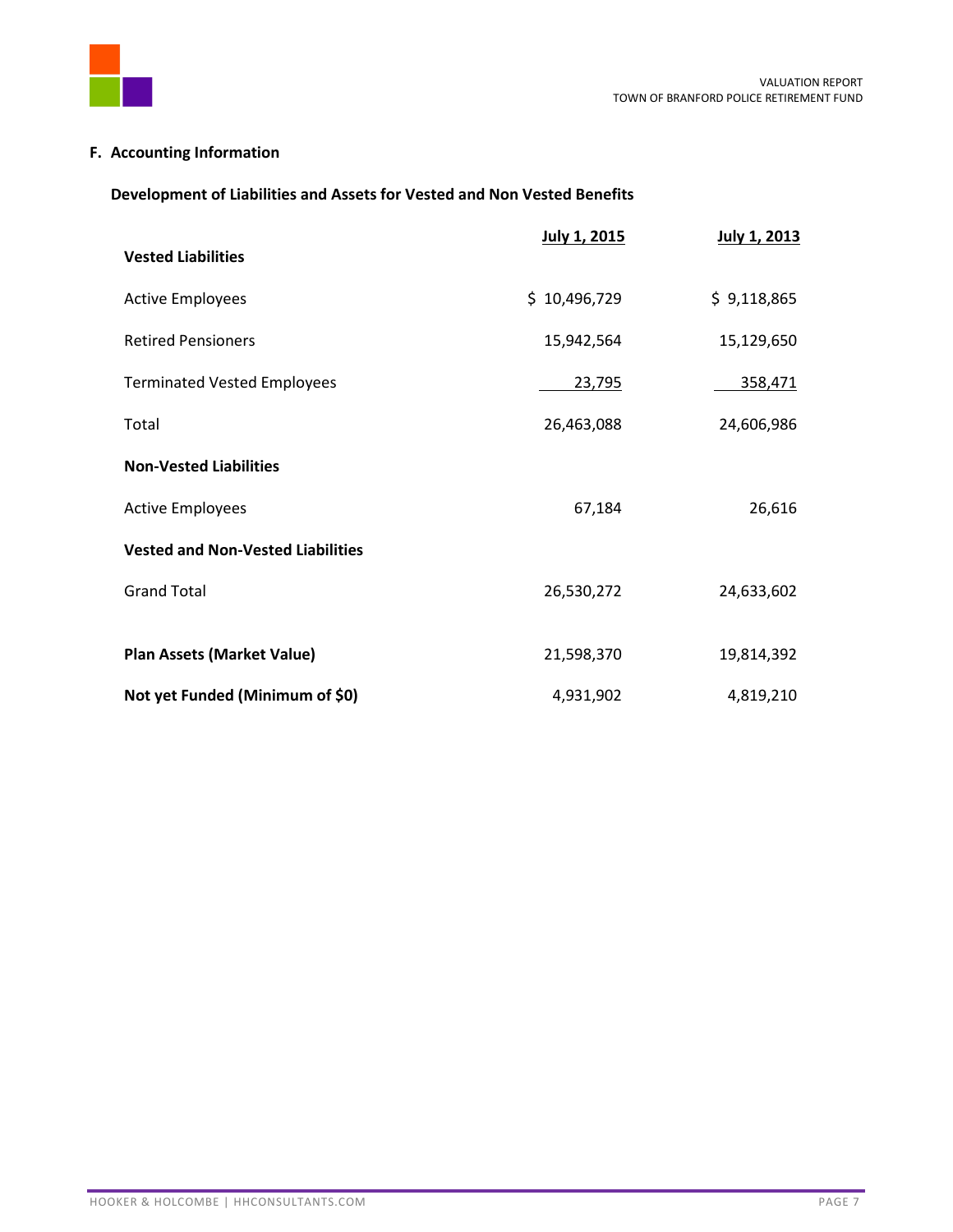

# **F. Accounting Information**

# **Development of Liabilities and Assets for Vested and Non Vested Benefits**

|                                          | July 1, 2015 | July 1, 2013 |
|------------------------------------------|--------------|--------------|
| <b>Vested Liabilities</b>                |              |              |
| <b>Active Employees</b>                  | \$10,496,729 | \$9,118,865  |
| <b>Retired Pensioners</b>                | 15,942,564   | 15,129,650   |
| <b>Terminated Vested Employees</b>       | 23,795       | 358,471      |
| Total                                    | 26,463,088   | 24,606,986   |
| <b>Non-Vested Liabilities</b>            |              |              |
| <b>Active Employees</b>                  | 67,184       | 26,616       |
| <b>Vested and Non-Vested Liabilities</b> |              |              |
| <b>Grand Total</b>                       | 26,530,272   | 24,633,602   |
|                                          |              |              |
| <b>Plan Assets (Market Value)</b>        | 21,598,370   | 19,814,392   |
| Not yet Funded (Minimum of \$0)          | 4,931,902    | 4,819,210    |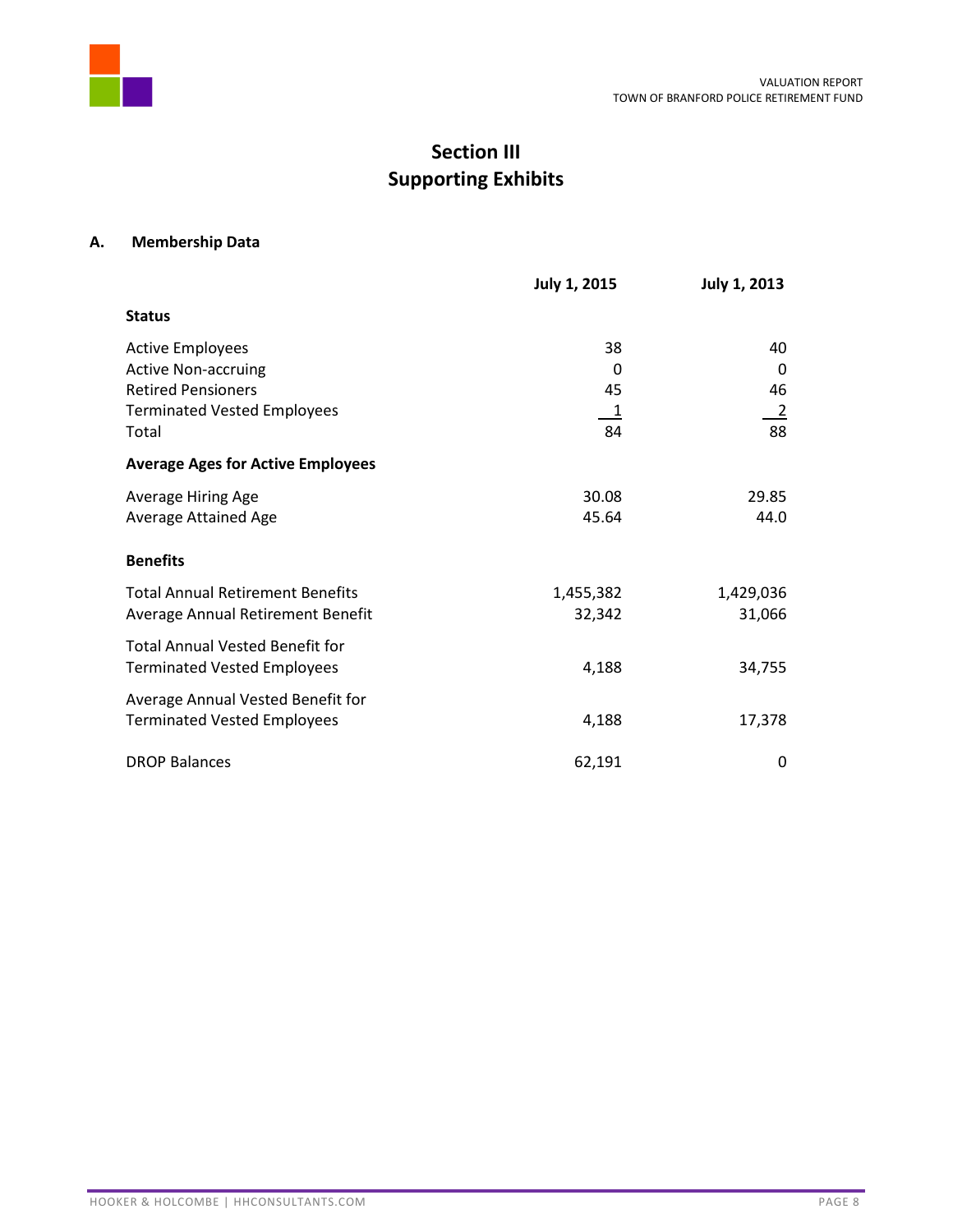

# **Section III Supporting Exhibits**

# **A. Membership Data**

|                                          | July 1, 2015               | July 1, 2013   |
|------------------------------------------|----------------------------|----------------|
| <b>Status</b>                            |                            |                |
| <b>Active Employees</b>                  | 38                         | 40             |
| <b>Active Non-accruing</b>               | 0                          | 0              |
| <b>Retired Pensioners</b>                | 45                         | 46             |
| <b>Terminated Vested Employees</b>       | $\overline{\phantom{0}}$ 1 | $\overline{2}$ |
| Total                                    | 84                         | 88             |
| <b>Average Ages for Active Employees</b> |                            |                |
| Average Hiring Age                       | 30.08                      | 29.85          |
| Average Attained Age                     | 45.64                      | 44.0           |
| <b>Benefits</b>                          |                            |                |
| <b>Total Annual Retirement Benefits</b>  | 1,455,382                  | 1,429,036      |
| Average Annual Retirement Benefit        | 32,342                     | 31,066         |
| <b>Total Annual Vested Benefit for</b>   |                            |                |
| <b>Terminated Vested Employees</b>       | 4,188                      | 34,755         |
| Average Annual Vested Benefit for        |                            |                |
| <b>Terminated Vested Employees</b>       | 4,188                      | 17,378         |
| <b>DROP Balances</b>                     | 62,191                     | 0              |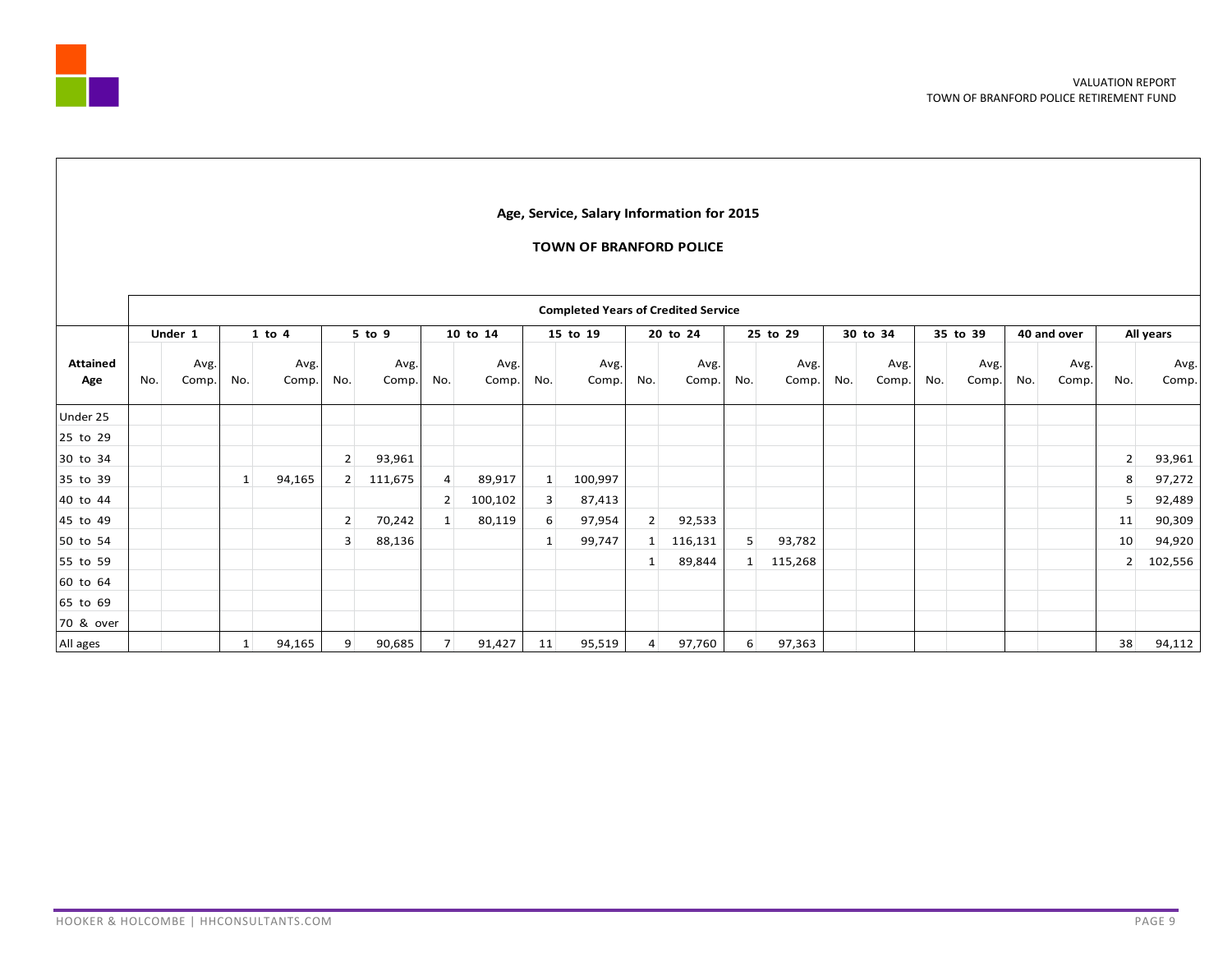

#### **Age, Service, Salary Information for 2015**

#### **TOWN OF BRANFORD POLICE**

|                        |     | Under 1       |              | $1$ to $4$    |                | 5 to 9        |                | 10 to 14      |              | 15 to 19      |                | 20 to 24      | 25 to 29         |               |     | 30 to 34      |     | 35 to 39      | 40 and over |               |                | All years     |
|------------------------|-----|---------------|--------------|---------------|----------------|---------------|----------------|---------------|--------------|---------------|----------------|---------------|------------------|---------------|-----|---------------|-----|---------------|-------------|---------------|----------------|---------------|
| <b>Attained</b><br>Age | No. | Avg.<br>Comp. | No.          | Avg.<br>Comp. | No.            | Avg.<br>Comp. | No.            | Avg.<br>Comp. | No.          | Avg.<br>Comp. | No.            | Avg.<br>Comp. | No.              | Avg.<br>Comp. | No. | Avg.<br>Comp. | No. | Avg.<br>Comp. | No.         | Avg.<br>Comp. | No.            | Avg.<br>Comp. |
| Under 25               |     |               |              |               |                |               |                |               |              |               |                |               |                  |               |     |               |     |               |             |               |                |               |
| 25 to 29               |     |               |              |               |                |               |                |               |              |               |                |               |                  |               |     |               |     |               |             |               |                |               |
| 30 to 34               |     |               |              |               | $\overline{2}$ | 93,961        |                |               |              |               |                |               |                  |               |     |               |     |               |             |               | $\overline{2}$ | 93,961        |
| 35 to 39               |     |               | $\mathbf{1}$ | 94,165        | 2              | 111,675       | 4              | 89,917        | 1            | 100,997       |                |               |                  |               |     |               |     |               |             |               | 8              | 97,272        |
| 40 to 44               |     |               |              |               |                |               | $\overline{2}$ | 100,102       | 3            | 87,413        |                |               |                  |               |     |               |     |               |             |               | 5              | 92,489        |
| 45 to 49               |     |               |              |               | $\overline{2}$ | 70,242        | 1              | 80,119        | 6            | 97,954        | 2 <sup>1</sup> | 92,533        |                  |               |     |               |     |               |             |               | 11             | 90,309        |
| 50 to 54               |     |               |              |               | 3              | 88,136        |                |               | $\mathbf{1}$ | 99,747        | 1 <sup>1</sup> | 116,131       | 5 <sup>1</sup>   | 93,782        |     |               |     |               |             |               | 10             | 94,920        |
| 55 to 59               |     |               |              |               |                |               |                |               |              |               | 1 <sup>1</sup> | 89,844        | 1                | 115,268       |     |               |     |               |             |               | $\overline{2}$ | 102,556       |
| 60 to 64               |     |               |              |               |                |               |                |               |              |               |                |               |                  |               |     |               |     |               |             |               |                |               |
| 65 to 69               |     |               |              |               |                |               |                |               |              |               |                |               |                  |               |     |               |     |               |             |               |                |               |
| 70 & over              |     |               |              |               |                |               |                |               |              |               |                |               |                  |               |     |               |     |               |             |               |                |               |
| All ages               |     |               | $\mathbf{1}$ | 94,165        | 9              | 90,685        | $\overline{7}$ | 91,427        | 11           | 95,519        | $\overline{4}$ | 97,760        | $6 \overline{6}$ | 97,363        |     |               |     |               |             |               | 38             | 94,112        |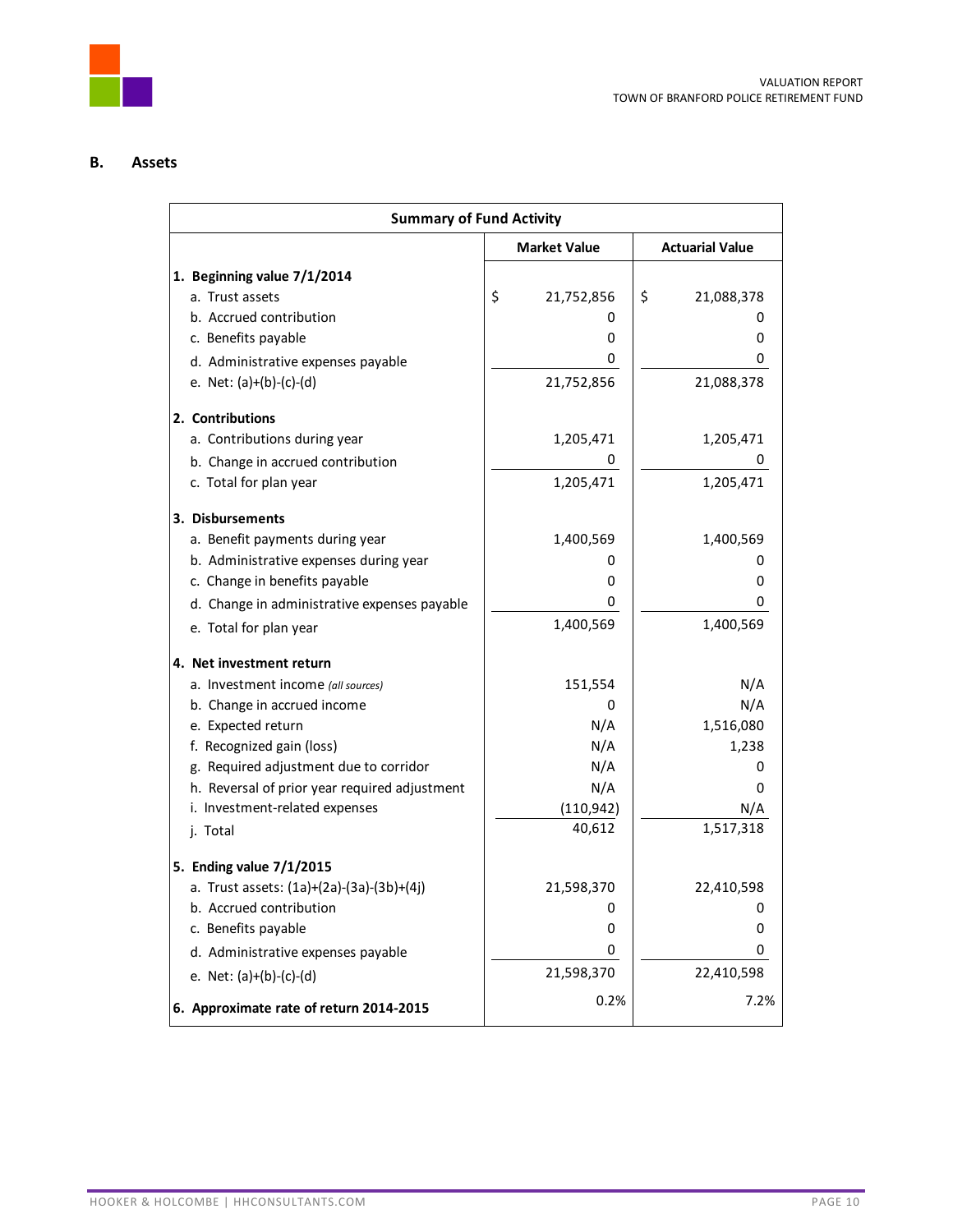

# **B. Assets**

| <b>Summary of Fund Activity</b>               |                      |                        |  |  |
|-----------------------------------------------|----------------------|------------------------|--|--|
|                                               | <b>Market Value</b>  | <b>Actuarial Value</b> |  |  |
| 1. Beginning value 7/1/2014                   |                      |                        |  |  |
| a. Trust assets                               | \$<br>21,752,856     | \$<br>21,088,378       |  |  |
| b. Accrued contribution                       | 0                    | O                      |  |  |
| c. Benefits payable                           | 0                    | 0                      |  |  |
| d. Administrative expenses payable            | 0                    | 0                      |  |  |
| e. Net: $(a)+(b)-(c)-(d)$                     | 21,752,856           | 21,088,378             |  |  |
| 2. Contributions                              |                      |                        |  |  |
| a. Contributions during year                  | 1,205,471            | 1,205,471              |  |  |
| b. Change in accrued contribution             |                      |                        |  |  |
| c. Total for plan year                        | 1,205,471            | 1,205,471              |  |  |
| 3. Disbursements                              |                      |                        |  |  |
| a. Benefit payments during year               | 1,400,569            | 1,400,569              |  |  |
| b. Administrative expenses during year        | 0                    | O                      |  |  |
| c. Change in benefits payable                 | 0                    | 0                      |  |  |
| d. Change in administrative expenses payable  | 0                    | 0                      |  |  |
| e. Total for plan year                        | 1,400,569            | 1,400,569              |  |  |
| 4. Net investment return                      |                      |                        |  |  |
| a. Investment income (all sources)            | 151,554              | N/A                    |  |  |
| b. Change in accrued income                   | 0                    | N/A                    |  |  |
| e. Expected return                            | N/A                  | 1,516,080              |  |  |
| f. Recognized gain (loss)                     | N/A                  | 1,238                  |  |  |
| g. Required adjustment due to corridor        | N/A                  | O                      |  |  |
| h. Reversal of prior year required adjustment | N/A                  | 0                      |  |  |
| i. Investment-related expenses                | (110, 942)<br>40,612 | N/A<br>1,517,318       |  |  |
| j. Total                                      |                      |                        |  |  |
| 5. Ending value 7/1/2015                      |                      |                        |  |  |
| a. Trust assets: (1a)+(2a)-(3a)-(3b)+(4j)     | 21,598,370           | 22,410,598             |  |  |
| b. Accrued contribution                       | 0                    | 0                      |  |  |
| c. Benefits payable                           | 0                    | 0                      |  |  |
| d. Administrative expenses payable            | 0                    | 0                      |  |  |
| e. Net: $(a)+(b)-(c)-(d)$                     | 21,598,370           | 22,410,598             |  |  |
| 6. Approximate rate of return 2014-2015       | 0.2%                 | 7.2%                   |  |  |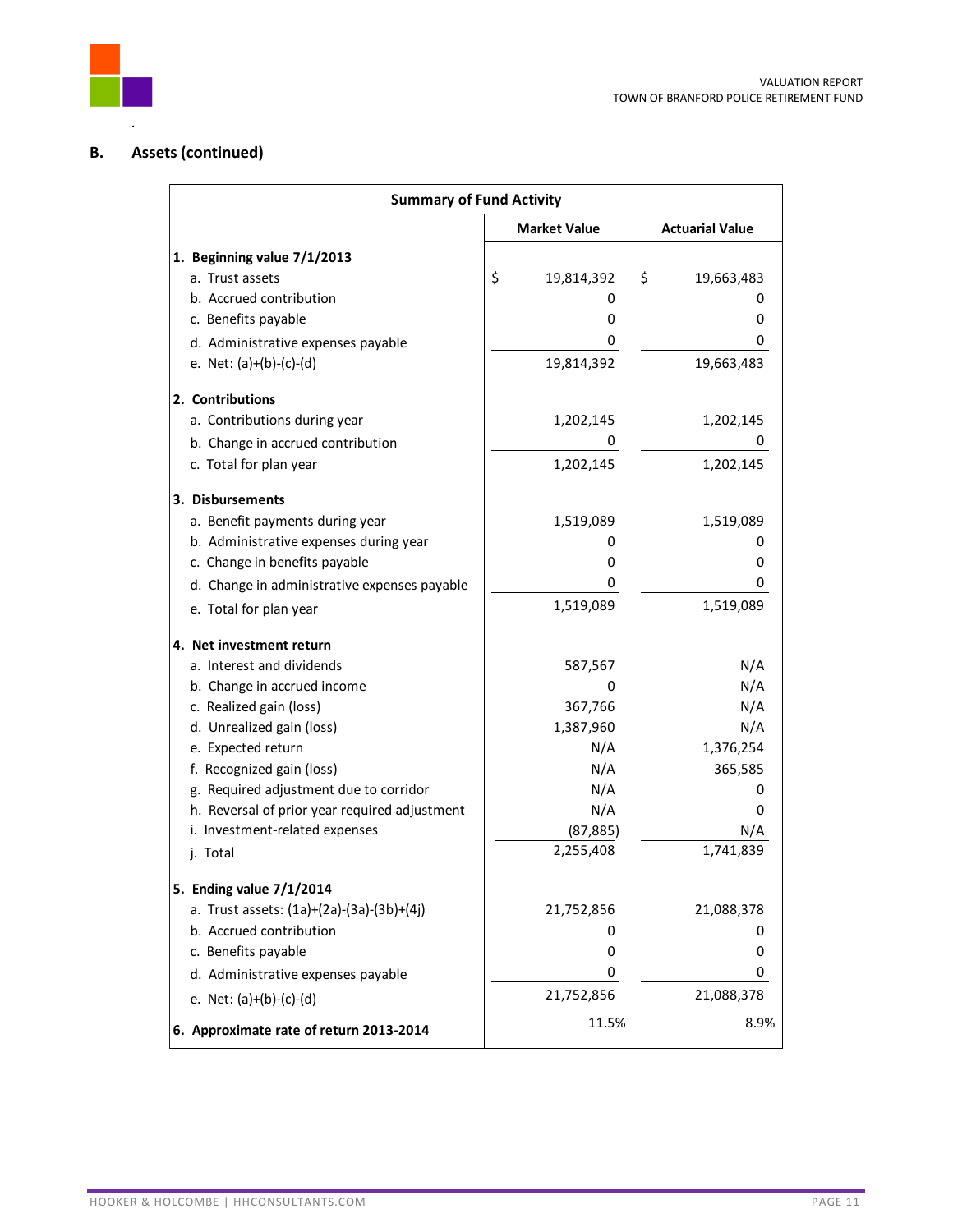

# **B. Assets (continued)**

| <b>Summary of Fund Activity</b>                                                 |                        |                        |  |  |
|---------------------------------------------------------------------------------|------------------------|------------------------|--|--|
|                                                                                 | <b>Market Value</b>    | <b>Actuarial Value</b> |  |  |
| 1. Beginning value 7/1/2013                                                     |                        |                        |  |  |
| a. Trust assets                                                                 | \$<br>19,814,392       | \$<br>19,663,483       |  |  |
| b. Accrued contribution                                                         | 0                      | O                      |  |  |
| c. Benefits payable                                                             | 0                      | 0                      |  |  |
| d. Administrative expenses payable                                              | 0                      | 0                      |  |  |
| e. Net: $(a)+(b)-(c)-(d)$                                                       | 19,814,392             | 19,663,483             |  |  |
| 2. Contributions                                                                |                        |                        |  |  |
| a. Contributions during year                                                    | 1,202,145              | 1,202,145              |  |  |
| b. Change in accrued contribution                                               | 0                      | 0                      |  |  |
| c. Total for plan year                                                          | 1,202,145              | 1,202,145              |  |  |
| 3. Disbursements                                                                |                        |                        |  |  |
| a. Benefit payments during year                                                 | 1,519,089              | 1,519,089              |  |  |
| b. Administrative expenses during year                                          | 0                      | 0                      |  |  |
| c. Change in benefits payable                                                   | 0                      | 0                      |  |  |
| d. Change in administrative expenses payable                                    | 0                      | 0                      |  |  |
| e. Total for plan year                                                          | 1,519,089              | 1,519,089              |  |  |
| 4. Net investment return                                                        |                        |                        |  |  |
| a. Interest and dividends                                                       | 587,567                | N/A                    |  |  |
| b. Change in accrued income                                                     | 0                      | N/A                    |  |  |
| c. Realized gain (loss)                                                         | 367,766                | N/A                    |  |  |
| d. Unrealized gain (loss)                                                       | 1,387,960              | N/A                    |  |  |
| e. Expected return                                                              | N/A                    | 1,376,254              |  |  |
| f. Recognized gain (loss)                                                       | N/A                    | 365,585                |  |  |
| g. Required adjustment due to corridor                                          | N/A                    | O                      |  |  |
| h. Reversal of prior year required adjustment<br>i. Investment-related expenses | N/A                    | 0                      |  |  |
| j. Total                                                                        | (87, 885)<br>2,255,408 | N/A<br>1,741,839       |  |  |
|                                                                                 |                        |                        |  |  |
| 5. Ending value 7/1/2014<br>a. Trust assets: (1a)+(2a)-(3a)-(3b)+(4j)           | 21,752,856             | 21,088,378             |  |  |
| b. Accrued contribution                                                         | 0                      | 0                      |  |  |
| c. Benefits payable                                                             | 0                      | 0                      |  |  |
| d. Administrative expenses payable                                              | 0                      | 0                      |  |  |
| e. Net: $(a)+(b)-(c)-(d)$                                                       | 21,752,856             | 21,088,378             |  |  |
| 6. Approximate rate of return 2013-2014                                         | 11.5%                  | 8.9%                   |  |  |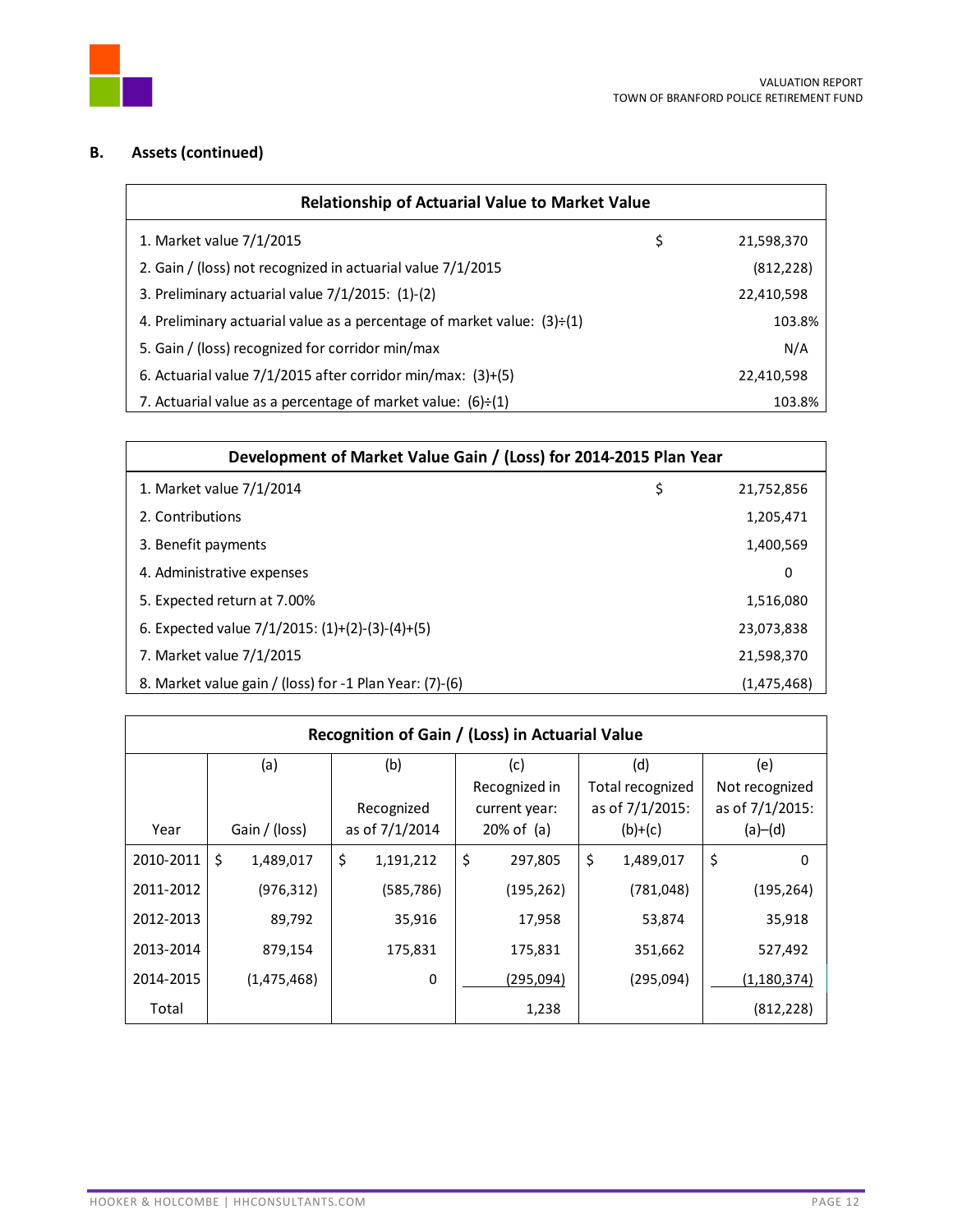

# **B. Assets (continued)**

| <b>Relationship of Actuarial Value to Market Value</b>                         |     |            |  |  |
|--------------------------------------------------------------------------------|-----|------------|--|--|
| 1. Market value 7/1/2015                                                       | \$  | 21,598,370 |  |  |
| 2. Gain / (loss) not recognized in actuarial value 7/1/2015                    |     | (812, 228) |  |  |
| 3. Preliminary actuarial value 7/1/2015: (1)-(2)                               |     | 22,410,598 |  |  |
| 4. Preliminary actuarial value as a percentage of market value: $(3) \div (1)$ |     | 103.8%     |  |  |
| 5. Gain / (loss) recognized for corridor min/max                               | N/A |            |  |  |
| 6. Actuarial value $7/1/2015$ after corridor min/max: $(3)+(5)$                |     | 22,410,598 |  |  |
| 7. Actuarial value as a percentage of market value: $(6)+(1)$                  |     | 103.8%     |  |  |

| Development of Market Value Gain / (Loss) for 2014-2015 Plan Year |    |             |  |  |
|-------------------------------------------------------------------|----|-------------|--|--|
| 1. Market value 7/1/2014                                          | \$ | 21,752,856  |  |  |
| 2. Contributions                                                  |    | 1,205,471   |  |  |
| 3. Benefit payments                                               |    | 1,400,569   |  |  |
| 4. Administrative expenses                                        |    | 0           |  |  |
| 5. Expected return at 7.00%                                       |    | 1,516,080   |  |  |
| 6. Expected value $7/1/2015$ : $(1)+(2)-(3)-(4)+(5)$              |    | 23,073,838  |  |  |
| 7. Market value 7/1/2015                                          |    | 21,598,370  |  |  |
| 8. Market value gain / (loss) for -1 Plan Year: (7)-(6)           |    | (1,475,468) |  |  |

| Recognition of Gain / (Loss) in Actuarial Value |    |               |                                   |            |           |               |         |                  |                 |
|-------------------------------------------------|----|---------------|-----------------------------------|------------|-----------|---------------|---------|------------------|-----------------|
|                                                 |    | (a)           | (b)                               |            | (c)       |               |         | (d)              | (e)             |
|                                                 |    |               |                                   |            |           | Recognized in |         | Total recognized | Not recognized  |
|                                                 |    |               |                                   | Recognized |           | current year: |         | as of 7/1/2015:  | as of 7/1/2015: |
| Year                                            |    | Gain / (loss) | as of 7/1/2014<br>$20\%$ of $(a)$ |            | $(b)+(c)$ |               | (a)–(d) |                  |                 |
| 2010-2011                                       | \$ | 1,489,017     | \$                                | 1,191,212  | \$        | 297,805       | \$      | 1,489,017        | \$<br>0         |
| 2011-2012                                       |    | (976, 312)    |                                   | (585, 786) |           | (195, 262)    |         | (781, 048)       | (195, 264)      |
| 2012-2013                                       |    | 89,792        |                                   | 35,916     |           | 17,958        |         | 53,874           | 35,918          |
| 2013-2014                                       |    | 879,154       |                                   | 175,831    |           | 175,831       |         | 351,662          | 527,492         |
| 2014-2015                                       |    | (1,475,468)   |                                   | 0          |           | (295,094)     |         | (295,094)        | (1, 180, 374)   |
| Total                                           |    |               |                                   |            |           | 1,238         |         |                  | (812, 228)      |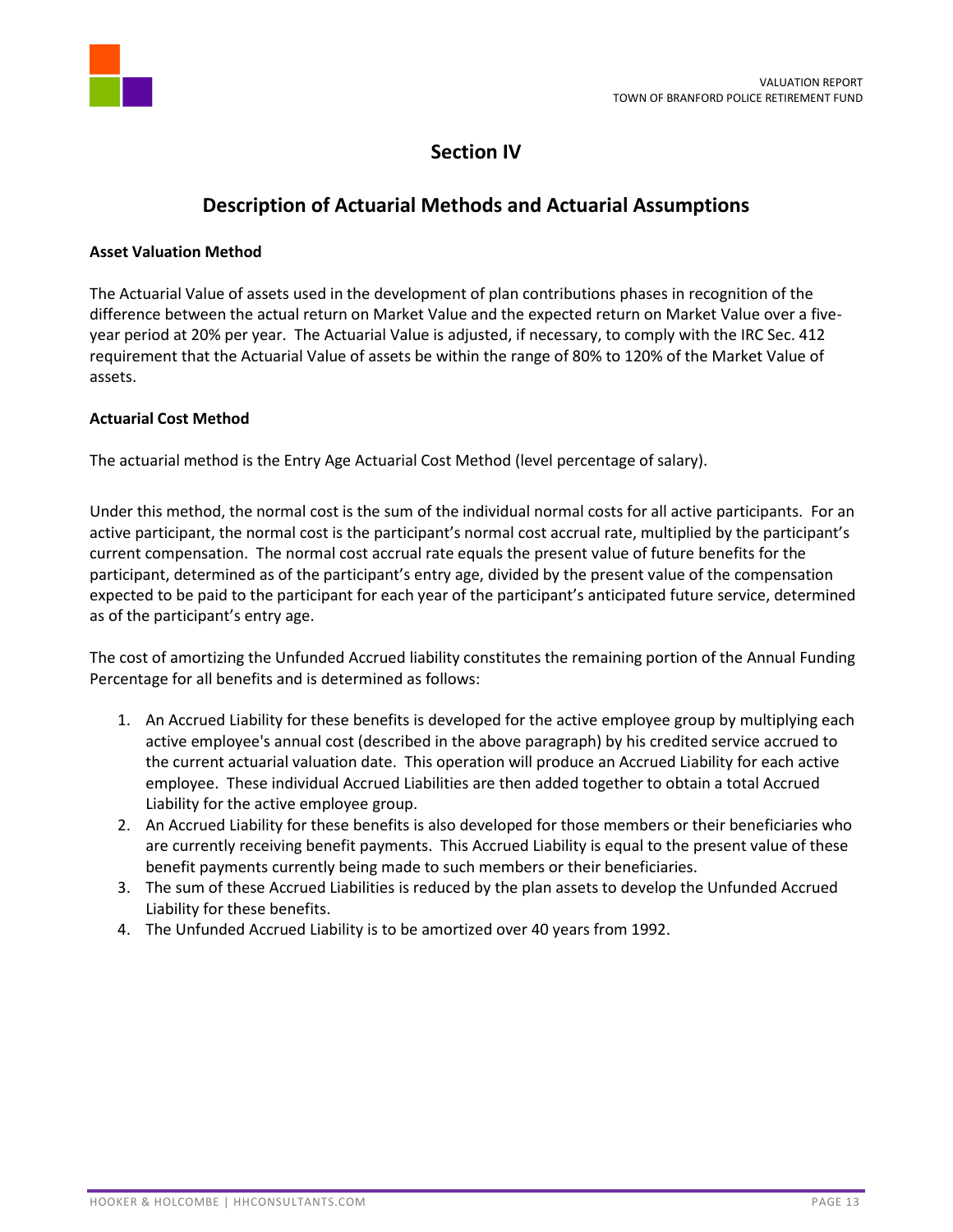

# **Section IV**

# **Description of Actuarial Methods and Actuarial Assumptions**

## **Asset Valuation Method**

The Actuarial Value of assets used in the development of plan contributions phases in recognition of the difference between the actual return on Market Value and the expected return on Market Value over a fiveyear period at 20% per year. The Actuarial Value is adjusted, if necessary, to comply with the IRC Sec. 412 requirement that the Actuarial Value of assets be within the range of 80% to 120% of the Market Value of assets.

# **Actuarial Cost Method**

The actuarial method is the Entry Age Actuarial Cost Method (level percentage of salary).

Under this method, the normal cost is the sum of the individual normal costs for all active participants. For an active participant, the normal cost is the participant's normal cost accrual rate, multiplied by the participant's current compensation. The normal cost accrual rate equals the present value of future benefits for the participant, determined as of the participant's entry age, divided by the present value of the compensation expected to be paid to the participant for each year of the participant's anticipated future service, determined as of the participant's entry age.

The cost of amortizing the Unfunded Accrued liability constitutes the remaining portion of the Annual Funding Percentage for all benefits and is determined as follows:

- 1. An Accrued Liability for these benefits is developed for the active employee group by multiplying each active employee's annual cost (described in the above paragraph) by his credited service accrued to the current actuarial valuation date. This operation will produce an Accrued Liability for each active employee. These individual Accrued Liabilities are then added together to obtain a total Accrued Liability for the active employee group.
- 2. An Accrued Liability for these benefits is also developed for those members or their beneficiaries who are currently receiving benefit payments. This Accrued Liability is equal to the present value of these benefit payments currently being made to such members or their beneficiaries.
- 3. The sum of these Accrued Liabilities is reduced by the plan assets to develop the Unfunded Accrued Liability for these benefits.
- 4. The Unfunded Accrued Liability is to be amortized over 40 years from 1992.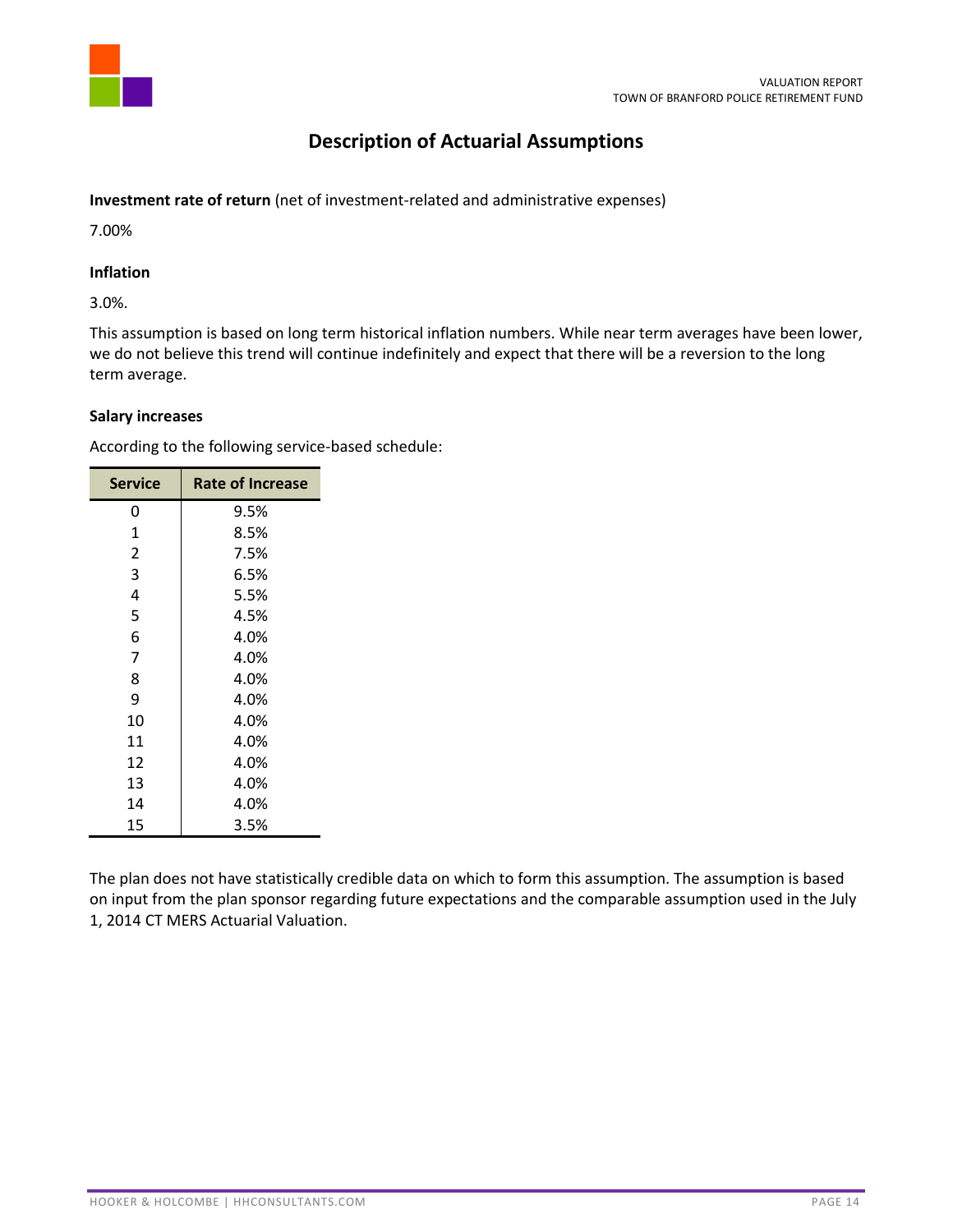

# **Description of Actuarial Assumptions**

## **Investment rate of return** (net of investment-related and administrative expenses)

7.00%

## **Inflation**

3.0%.

This assumption is based on long term historical inflation numbers. While near term averages have been lower, we do not believe this trend will continue indefinitely and expect that there will be a reversion to the long term average.

### **Salary increases**

According to the following service-based schedule:

| <b>Service</b> | <b>Rate of Increase</b> |
|----------------|-------------------------|
| 0              | 9.5%                    |
| 1              | 8.5%                    |
| 2              | 7.5%                    |
| 3              | 6.5%                    |
| 4              | 5.5%                    |
| 5              | 4.5%                    |
| 6              | 4.0%                    |
| 7              | 4.0%                    |
| 8              | 4.0%                    |
| 9              | 4.0%                    |
| 10             | 4.0%                    |
| 11             | 4.0%                    |
| 12             | 4.0%                    |
| 13             | 4.0%                    |
| 14             | 4.0%                    |
| 15             | 3.5%                    |

The plan does not have statistically credible data on which to form this assumption. The assumption is based on input from the plan sponsor regarding future expectations and the comparable assumption used in the July 1, 2014 CT MERS Actuarial Valuation.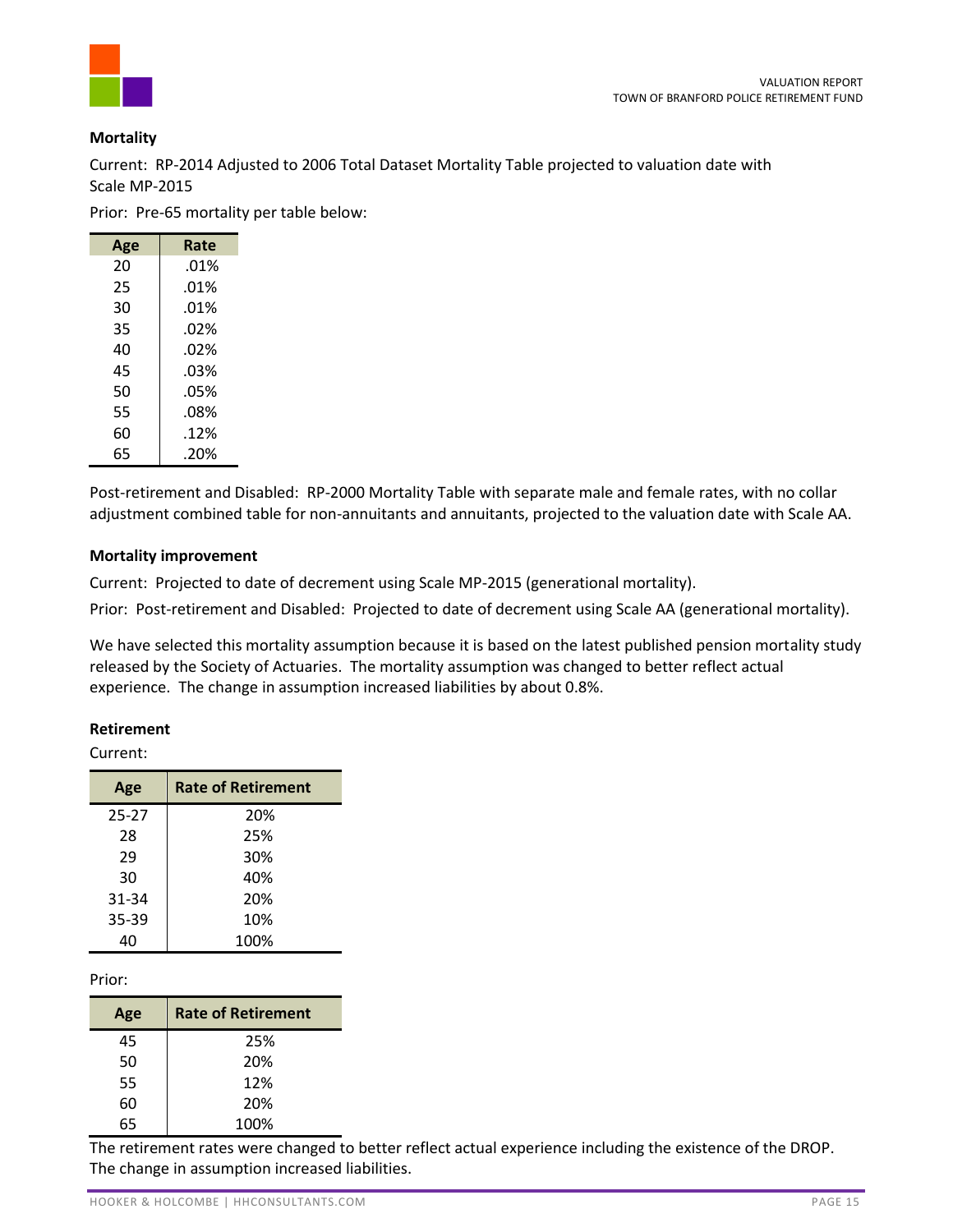### **Mortality**

Current: RP-2014 Adjusted to 2006 Total Dataset Mortality Table projected to valuation date with Scale MP-2015

Prior: Pre-65 mortality per table below:

| Age | Rate    |
|-----|---------|
| 20  | .01%    |
| 25  | .01%    |
| 30  | .01%    |
| 35  | $.02\%$ |
| 40  | $.02\%$ |
| 45  | .03%    |
| 50  | .05%    |
| 55  | .08%    |
| 60  | .12%    |
| 65  | .20%    |

Post-retirement and Disabled: RP-2000 Mortality Table with separate male and female rates, with no collar adjustment combined table for non-annuitants and annuitants, projected to the valuation date with Scale AA.

### **Mortality improvement**

Current: Projected to date of decrement using Scale MP-2015 (generational mortality).

Prior: Post-retirement and Disabled: Projected to date of decrement using Scale AA (generational mortality).

We have selected this mortality assumption because it is based on the latest published pension mortality study released by the Society of Actuaries. The mortality assumption was changed to better reflect actual experience. The change in assumption increased liabilities by about 0.8%.

#### **Retirement**

Current:

| Age       | <b>Rate of Retirement</b> |
|-----------|---------------------------|
| $25 - 27$ | 20%                       |
| 28        | 25%                       |
| 29        | 30%                       |
| 30        | 40%                       |
| 31-34     | 20%                       |
| 35-39     | 10%                       |
| 40        | 100%                      |

Prior:

| Age | <b>Rate of Retirement</b> |  |  |
|-----|---------------------------|--|--|
| 45  | 25%                       |  |  |
| 50  | 20%                       |  |  |
| 55  | 12%                       |  |  |
| 60  | 20%                       |  |  |
| 65  | 100%                      |  |  |

The retirement rates were changed to better reflect actual experience including the existence of the DROP. The change in assumption increased liabilities.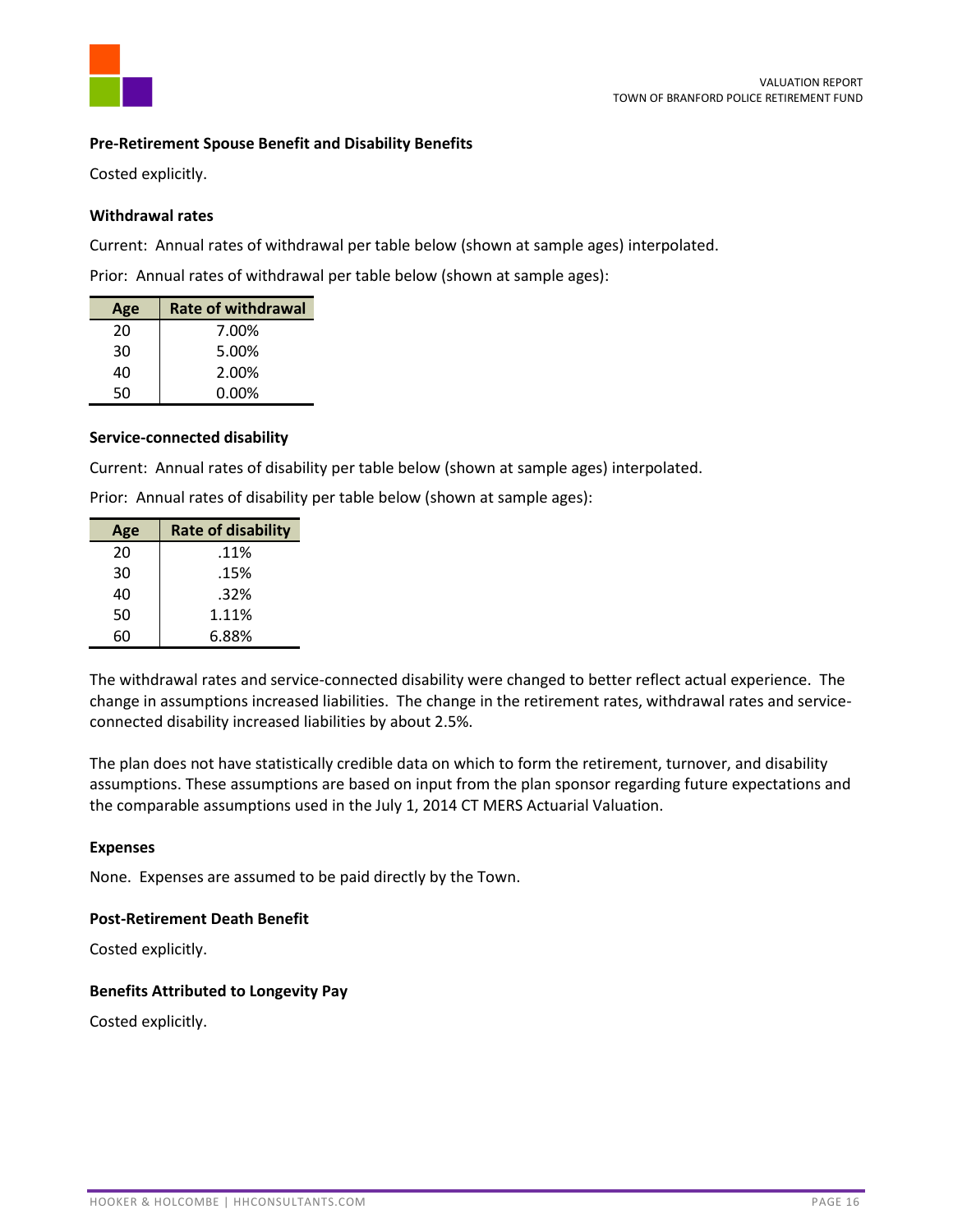

### **Pre-Retirement Spouse Benefit and Disability Benefits**

Costed explicitly.

#### **Withdrawal rates**

Current: Annual rates of withdrawal per table below (shown at sample ages) interpolated.

Prior: Annual rates of withdrawal per table below (shown at sample ages):

| Age | <b>Rate of withdrawal</b> |
|-----|---------------------------|
| 20  | 7.00%                     |
| 30  | 5.00%                     |
| 40  | 2.00%                     |
| 50  | $0.00\%$                  |

#### **Service-connected disability**

Current: Annual rates of disability per table below (shown at sample ages) interpolated.

Prior: Annual rates of disability per table below (shown at sample ages):

| Age | <b>Rate of disability</b> |
|-----|---------------------------|
| 20  | .11%                      |
| 30  | .15%                      |
| 40  | .32%                      |
| 50  | 1.11%                     |
| 60  | 6.88%                     |

The withdrawal rates and service-connected disability were changed to better reflect actual experience. The change in assumptions increased liabilities. The change in the retirement rates, withdrawal rates and serviceconnected disability increased liabilities by about 2.5%.

The plan does not have statistically credible data on which to form the retirement, turnover, and disability assumptions. These assumptions are based on input from the plan sponsor regarding future expectations and the comparable assumptions used in the July 1, 2014 CT MERS Actuarial Valuation.

#### **Expenses**

None. Expenses are assumed to be paid directly by the Town.

#### **Post-Retirement Death Benefit**

Costed explicitly.

#### **Benefits Attributed to Longevity Pay**

Costed explicitly.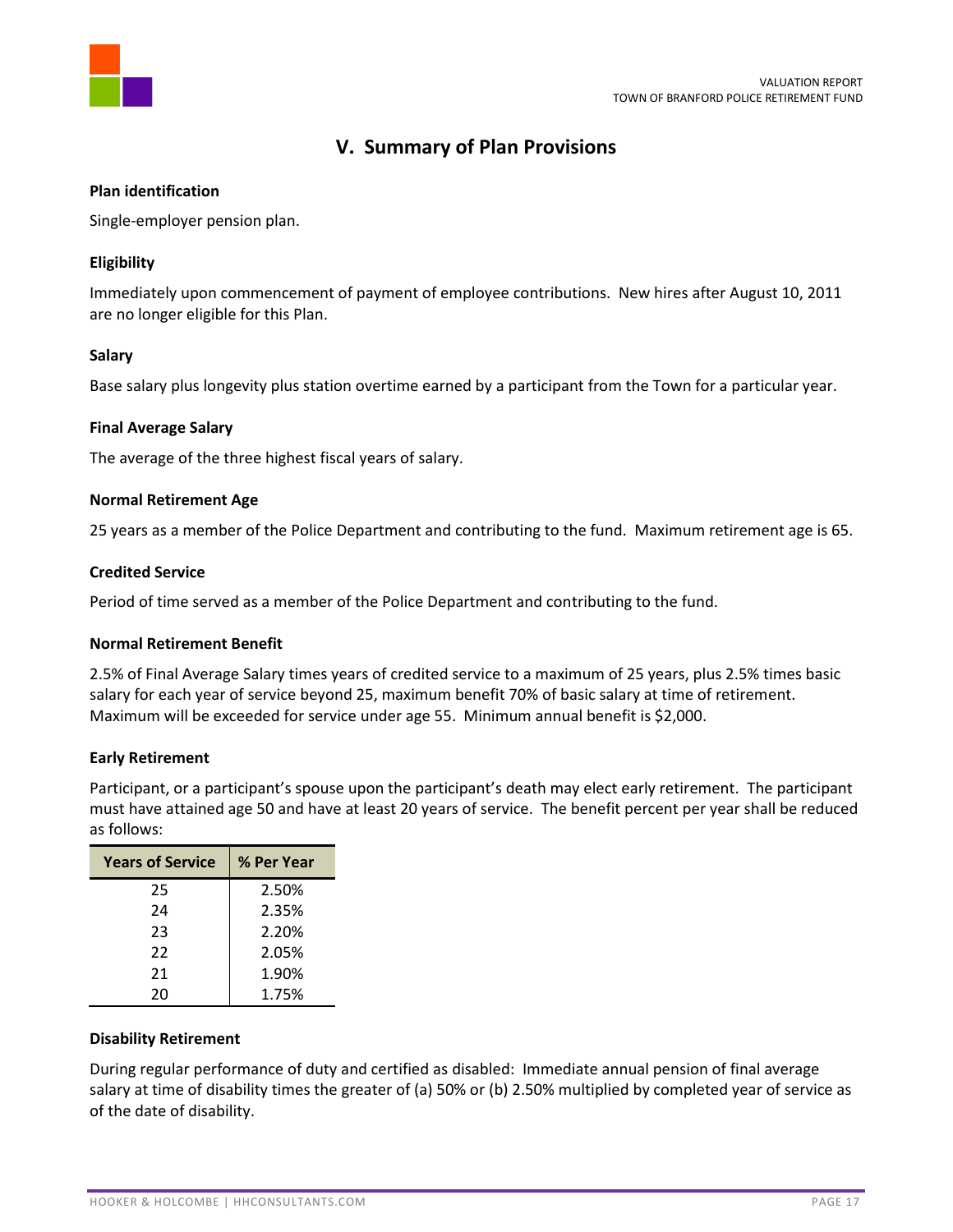

# **V. Summary of Plan Provisions**

### **Plan identification**

Single-employer pension plan.

### **Eligibility**

Immediately upon commencement of payment of employee contributions. New hires after August 10, 2011 are no longer eligible for this Plan.

#### **Salary**

Base salary plus longevity plus station overtime earned by a participant from the Town for a particular year.

#### **Final Average Salary**

The average of the three highest fiscal years of salary.

#### **Normal Retirement Age**

25 years as a member of the Police Department and contributing to the fund. Maximum retirement age is 65.

#### **Credited Service**

Period of time served as a member of the Police Department and contributing to the fund.

#### **Normal Retirement Benefit**

2.5% of Final Average Salary times years of credited service to a maximum of 25 years, plus 2.5% times basic salary for each year of service beyond 25, maximum benefit 70% of basic salary at time of retirement. Maximum will be exceeded for service under age 55. Minimum annual benefit is \$2,000.

### **Early Retirement**

Participant, or a participant's spouse upon the participant's death may elect early retirement. The participant must have attained age 50 and have at least 20 years of service. The benefit percent per year shall be reduced as follows:

| <b>Years of Service</b> | % Per Year |
|-------------------------|------------|
| 25                      | 2.50%      |
| 24                      | 2.35%      |
| 23                      | 2.20%      |
| 22                      | 2.05%      |
| 21                      | 1.90%      |
| 20                      | 1.75%      |

### **Disability Retirement**

During regular performance of duty and certified as disabled: Immediate annual pension of final average salary at time of disability times the greater of (a) 50% or (b) 2.50% multiplied by completed year of service as of the date of disability.